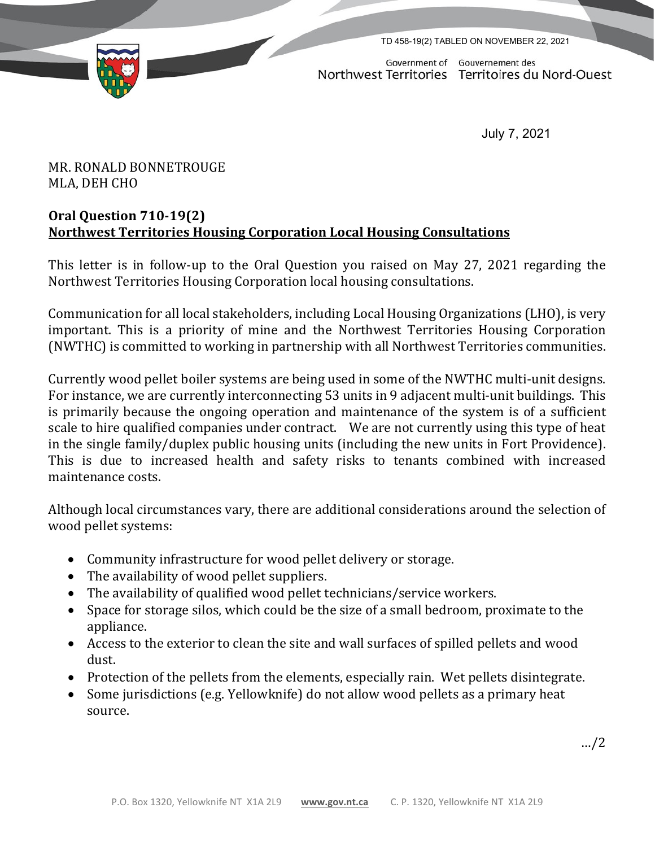

TD 458-19(2) TABLED ON NOVEMBER 22, 2021

Government of Gouvernement des Northwest Territories Territoires du Nord-Ouest

July 7, 2021

MR. RONALD BONNETROUGE MLA, DEH CHO

## **Oral Question 710-19(2) Northwest Territories Housing Corporation Local Housing Consultations**

This letter is in follow-up to the Oral Question you raised on May 27, 2021 regarding the Northwest Territories Housing Corporation local housing consultations.

Communication for all local stakeholders, including Local Housing Organizations (LHO), is very important. This is a priority of mine and the Northwest Territories Housing Corporation (NWTHC) is committed to working in partnership with all Northwest Territories communities.

Currently wood pellet boiler systems are being used in some of the NWTHC multi-unit designs. For instance, we are currently interconnecting 53 units in 9 adjacent multi-unit buildings. This is primarily because the ongoing operation and maintenance of the system is of a sufficient scale to hire qualified companies under contract. We are not currently using this type of heat in the single family/duplex public housing units (including the new units in Fort Providence). This is due to increased health and safety risks to tenants combined with increased maintenance costs.

Although local circumstances vary, there are additional considerations around the selection of wood pellet systems:

- Community infrastructure for wood pellet delivery or storage.
- The availability of wood pellet suppliers.
- The availability of qualified wood pellet technicians/service workers.
- Space for storage silos, which could be the size of a small bedroom, proximate to the appliance.
- Access to the exterior to clean the site and wall surfaces of spilled pellets and wood dust.
- Protection of the pellets from the elements, especially rain. Wet pellets disintegrate.
- Some jurisdictions (e.g. Yellowknife) do not allow wood pellets as a primary heat source.

…/2